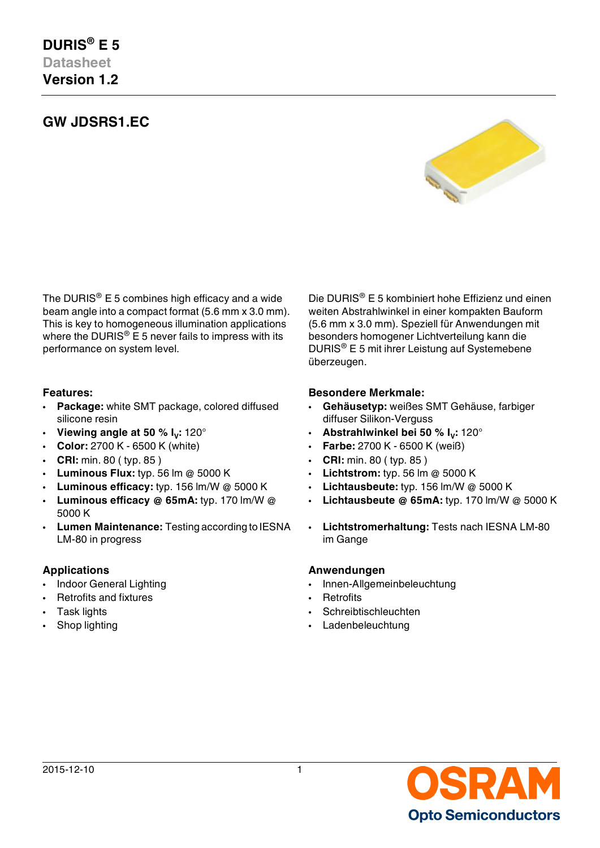# **GW JDSRS1.EC**



The DURIS<sup>®</sup> E 5 combines high efficacy and a wide beam angle into a compact format (5.6 mm x 3.0 mm). This is key to homogeneous illumination applications where the DURIS<sup>®</sup> E 5 never fails to impress with its performance on system level.

- **Package:** white SMT package, colored diffused silicone resin
- **Viewing angle at 50 %**  $I_v$ **: 120°**
- **Color:** 2700 K 6500 K (white) **Farbe:** 2700 K 6500 K (weiß)
- **CRI:** min. 80 ( typ. 85 ) **CRI:** min. 80 ( typ. 85 )
- **Luminous Flux:** typ. 56 lm @ 5000 K **Lichtstrom:** typ. 56 lm @ 5000 K
- **Luminous efficacy:** typ. 156 lm/W @ 5000 K **Lichtausbeute:** typ. 156 lm/W @ 5000 K
- **Luminous efficacy @ 65mA:** typ. 170 lm/W @ 5000 K
- **Lumen Maintenance:** Testing according to IESNA LM-80 in progress

- 
- **Particular Financial Executive Section 1 According to According the Retrofits Retrofits**
- 
- 

Die DURIS® E 5 kombiniert hohe Effizienz und einen weiten Abstrahlwinkel in einer kompakten Bauform (5.6 mm x 3.0 mm). Speziell für Anwendungen mit besonders homogener Lichtverteilung kann die DURIS® E 5 mit ihrer Leistung auf Systemebene überzeugen.

#### **Features: Besondere Merkmale:**

- **Gehäusetyp:** weißes SMT Gehäuse, farbiger diffuser Silikon-Verguss
- **:** 120° **Abstrahlwinkel bei 50 % I<sup>V</sup> :** 120°
	-
	-
	-
	-
	- **Lichtausbeute @ 65mA:** typ. 170 lm/W @ 5000 K
	- **Lichtstromerhaltung:** Tests nach IESNA LM-80 im Gange

#### **Applications Anwendungen**

- Indoor General Lighting  **Innen-Allgemeinbeleuchtung** 
	-
- Task lights Schreibtischleuchten
	- Shop lighting Ladenbeleuchtung

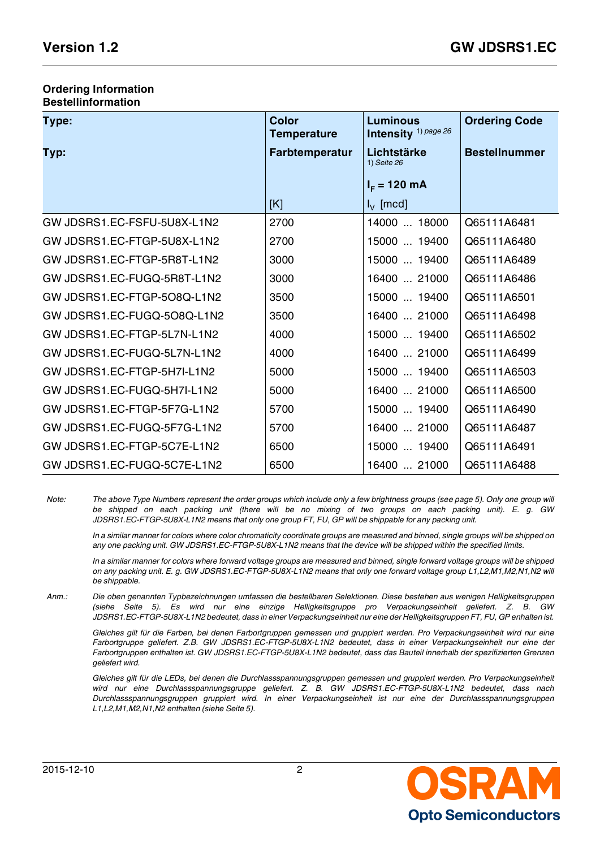#### **Ordering Information Bestellinformation**

| Type:                       | <b>Color</b><br><b>Temperature</b> | <b>Luminous</b><br>Intensity <sup>1)</sup> page 26 | <b>Ordering Code</b> |
|-----------------------------|------------------------------------|----------------------------------------------------|----------------------|
| Typ:                        | <b>Farbtemperatur</b>              | Lichtstärke<br>1) Seite 26                         | <b>Bestellnummer</b> |
|                             |                                    | $I_F = 120$ mA                                     |                      |
|                             | [K]                                | $I_{\vee}$ [mcd]                                   |                      |
| GW JDSRS1.EC-FSFU-5U8X-L1N2 | 2700                               | 14000  18000                                       | Q65111A6481          |
| GW JDSRS1.EC-FTGP-5U8X-L1N2 | 2700                               | 15000  19400                                       | Q65111A6480          |
| GW JDSRS1.EC-FTGP-5R8T-L1N2 | 3000                               | 15000  19400                                       | Q65111A6489          |
| GW JDSRS1.EC-FUGQ-5R8T-L1N2 | 3000                               | 16400  21000                                       | Q65111A6486          |
| GW JDSRS1.EC-FTGP-508Q-L1N2 | 3500                               | 15000  19400                                       | Q65111A6501          |
| GW JDSRS1.EC-FUGQ-508Q-L1N2 | 3500                               | 16400  21000                                       | Q65111A6498          |
| GW JDSRS1.EC-FTGP-5L7N-L1N2 | 4000                               | 15000  19400                                       | Q65111A6502          |
| GW JDSRS1.EC-FUGQ-5L7N-L1N2 | 4000                               | 16400  21000                                       | Q65111A6499          |
| GW JDSRS1.EC-FTGP-5H7I-L1N2 | 5000                               | 15000  19400                                       | Q65111A6503          |
| GW JDSRS1.EC-FUGQ-5H7I-L1N2 | 5000                               | 16400  21000                                       | Q65111A6500          |
| GW JDSRS1.EC-FTGP-5F7G-L1N2 | 5700                               | 15000  19400                                       | Q65111A6490          |
| GW JDSRS1.EC-FUGQ-5F7G-L1N2 | 5700                               | 16400  21000                                       | Q65111A6487          |
| GW JDSRS1.EC-FTGP-5C7E-L1N2 | 6500                               | 15000  19400                                       | Q65111A6491          |
| GW JDSRS1.EC-FUGQ-5C7E-L1N2 | 6500                               | 16400  21000                                       | Q65111A6488          |

*Note: The above Type Numbers represent the order groups which include only a few brightness groups (see page [5](#page-4-0)). Only one group will be shipped on each packing unit (there will be no mixing of two groups on each packing unit). E. g. GW JDSRS1.EC-FTGP-5U8X-L1N2 means that only one group FT, FU, GP will be shippable for any packing unit.*

*In a similar manner for colors where color chromaticity coordinate groups are measured and binned, single groups will be shipped on any one packing unit. GW JDSRS1.EC-FTGP-5U8X-L1N2 means that the device will be shipped within the specified limits.*

*In a similar manner for colors where forward voltage groups are measured and binned, single forward voltage groups will be shipped on any packing unit. E. g. GW JDSRS1.EC-FTGP-5U8X-L1N2 means that only one forward voltage group L1,L2,M1,M2,N1,N2 will be shippable.*

*Anm.: Die oben genannten Typbezeichnungen umfassen die bestellbaren Selektionen. Diese bestehen aus wenigen Helligkeitsgruppen (siehe Seite [5](#page-4-1)). Es wird nur eine einzige Helligkeitsgruppe pro Verpackungseinheit geliefert. Z. B. GW JDSRS1.EC-FTGP-5U8X-L1N2 bedeutet, dass in einer Verpackungseinheit nur eine der Helligkeitsgruppen FT, FU, GP enhalten ist.*

*Gleiches gilt für die Farben, bei denen Farbortgruppen gemessen und gruppiert werden. Pro Verpackungseinheit wird nur eine Farbortgruppe geliefert. Z.B. GW JDSRS1.EC-FTGP-5U8X-L1N2 bedeutet, dass in einer Verpackungseinheit nur eine der Farbortgruppen enthalten ist. GW JDSRS1.EC-FTGP-5U8X-L1N2 bedeutet, dass das Bauteil innerhalb der spezifizierten Grenzen geliefert wird.*

*Gleiches gilt für die LEDs, bei denen die Durchlassspannungsgruppen gemessen und gruppiert werden. Pro Verpackungseinheit wird nur eine Durchlassspannungsgruppe geliefert. Z. B. GW JDSRS1.EC-FTGP-5U8X-L1N2 bedeutet, dass nach Durchlassspannungsgruppen gruppiert wird. In einer Verpackungseinheit ist nur eine der Durchlassspannungsgruppen L1,L2,M1,M2,N1,N2 enthalten (siehe Seite [5\)](#page-4-2).*

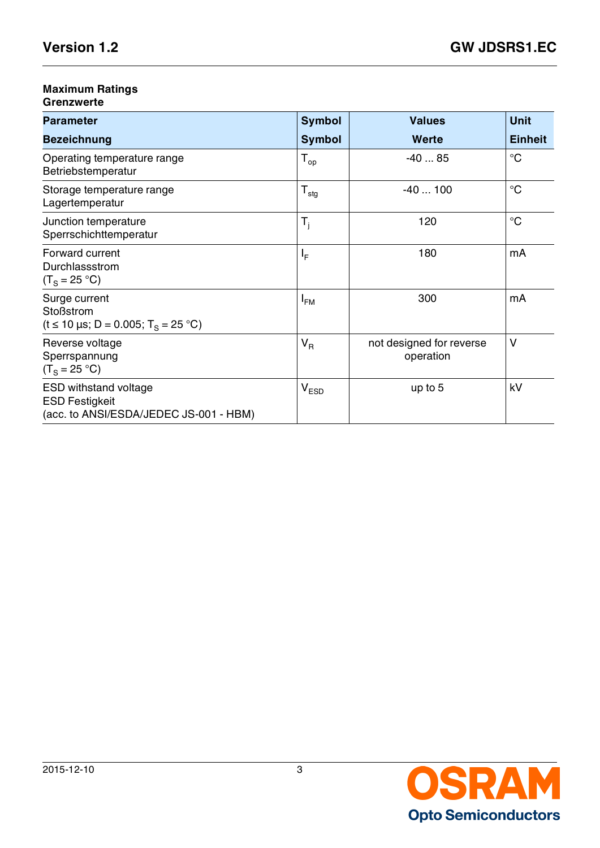# **Maximum Ratings**

### **Grenzwerte**

| <b>Parameter</b>                                                                                    | <b>Symbol</b>           | <b>Values</b>                         | <b>Unit</b>     |
|-----------------------------------------------------------------------------------------------------|-------------------------|---------------------------------------|-----------------|
| <b>Bezeichnung</b>                                                                                  | <b>Symbol</b>           | <b>Werte</b>                          | <b>Einheit</b>  |
| Operating temperature range<br>Betriebstemperatur                                                   | $T_{op}$                | $-4085$                               | $\rm ^{\circ}C$ |
| Storage temperature range<br>Lagertemperatur                                                        | $T_{\text{stg}}$        | $-40100$                              | $\rm ^{\circ}C$ |
| Junction temperature<br>Sperrschichttemperatur                                                      | $\mathsf{T}_\mathsf{i}$ | 120                                   | $\rm ^{\circ}C$ |
| Forward current<br>Durchlassstrom<br>$(T_S = 25 °C)$                                                | ΙF                      | 180                                   | mA              |
| Surge current<br><b>Stoßstrom</b><br>$(t \le 10 \,\mu s; D = 0.005; T_s = 25 \,^{\circ}\mathrm{C})$ | $I_{FM}$                | 300                                   | mA              |
| Reverse voltage<br>Sperrspannung<br>$(T_s = 25 °C)$                                                 | $V_R$                   | not designed for reverse<br>operation | $\vee$          |
| <b>ESD withstand voltage</b><br><b>ESD Festigkeit</b><br>(acc. to ANSI/ESDA/JEDEC JS-001 - HBM)     | $V_{ESD}$               | up to 5                               | kV              |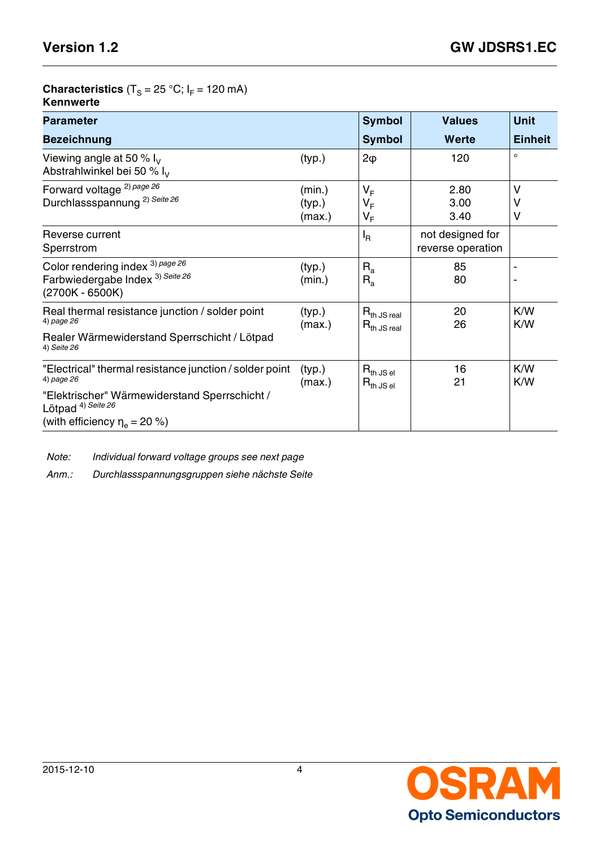# **Characteristics** (T<sub>S</sub> = 25 °C; I<sub>F</sub> = 120 mA)

| Kennwerte |  |
|-----------|--|
|-----------|--|

| <b>Parameter</b>                                                                                   | <b>Symbol</b>              | <b>Values</b>                        | <b>Unit</b>                           |                |
|----------------------------------------------------------------------------------------------------|----------------------------|--------------------------------------|---------------------------------------|----------------|
| <b>Bezeichnung</b>                                                                                 |                            | <b>Symbol</b>                        | Werte                                 | <b>Einheit</b> |
| Viewing angle at 50 % $I_V$<br>Abstrahlwinkel bei 50 % $I_V$                                       | (typ.)                     | $2\phi$                              | 120                                   | $\circ$        |
| Forward voltage <sup>2)</sup> page 26<br>Durchlassspannung <sup>2)</sup> Seite 26                  | (min.)<br>(typ.)<br>(max.) | $V_F$<br>$V_F$<br>$V_F$              | 2.80<br>3.00<br>3.40                  | v<br>V<br>٧    |
| Reverse current<br>Sperrstrom                                                                      |                            | $I_{\mathsf{R}}$                     | not designed for<br>reverse operation |                |
| Color rendering index 3) page 26<br>Farbwiedergabe Index <sup>3)</sup> Seite 26<br>(2700K - 6500K) | (typ.)<br>(min.)           | $R_{a}$<br>$R_{a}$                   | 85<br>80                              | $\blacksquare$ |
| Real thermal resistance junction / solder point<br>4) page 26                                      | (typ.)<br>(max.)           | $R_{th}$ JS real<br>$R_{th}$ JS real | 20<br>26                              | K/W<br>K/W     |
| Realer Wärmewiderstand Sperrschicht / Lötpad<br>4) Seite 26                                        |                            |                                      |                                       |                |
| "Electrical" thermal resistance junction / solder point<br>4) page 26                              | (typ.)<br>(max.)           | $R_{th}$ JS el<br>$R_{th}$ JS el     | 16<br>21                              | K/W<br>K/W     |
| "Elektrischer" Wärmewiderstand Sperrschicht /<br>Lötpad <sup>4)</sup> Seite 26                     |                            |                                      |                                       |                |
| (with efficiency $\eta_e = 20$ %)                                                                  |                            |                                      |                                       |                |

*Note: Individual forward voltage groups see next page*

*Anm.: Durchlassspannungsgruppen siehe nächste Seite*

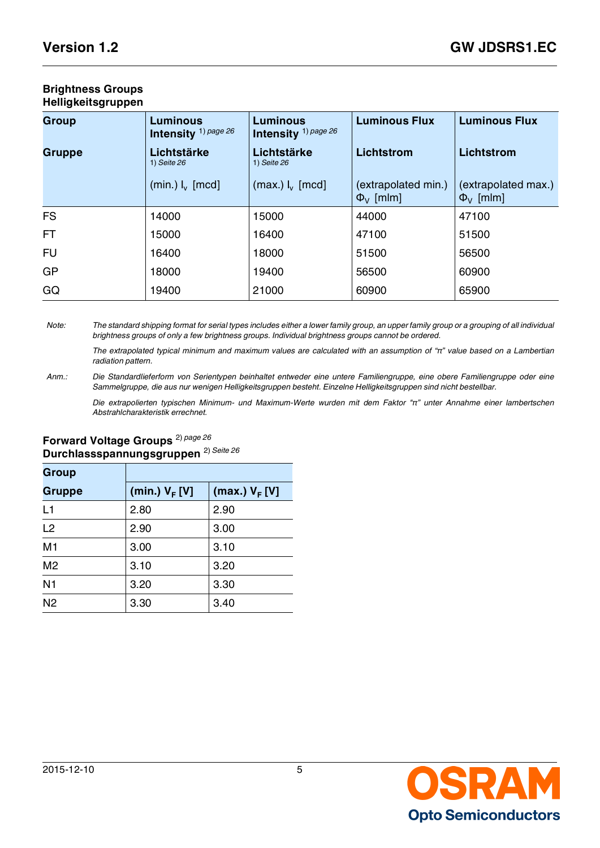| <b>Brightness Groups</b> |  |
|--------------------------|--|
| Helligkeitsgruppen       |  |

<span id="page-4-1"></span><span id="page-4-0"></span>

| <b>Group</b>  | <b>Luminous</b><br>Intensity <sup>1)</sup> page 26 | <b>Luminous</b><br>Intensity <sup>1)</sup> page 26 | <b>Luminous Flux</b>                    | <b>Luminous Flux</b>                    |
|---------------|----------------------------------------------------|----------------------------------------------------|-----------------------------------------|-----------------------------------------|
| <b>Gruppe</b> | Lichtstärke<br>1) Seite 26                         | Lichtstärke<br>1) Seite 26                         | Lichtstrom                              | <b>Lichtstrom</b>                       |
|               | $(min.)$ $I_{v}$ [mcd]                             | $(max.) I_v [mod]$                                 | (extrapolated min.)<br>$\Phi_{V}$ [mlm] | (extrapolated max.)<br>$\Phi_{V}$ [mlm] |
| <b>FS</b>     | 14000                                              | 15000                                              | 44000                                   | 47100                                   |
| FT.           | 15000                                              | 16400                                              | 47100                                   | 51500                                   |
| <b>FU</b>     | 16400                                              | 18000                                              | 51500                                   | 56500                                   |
| <b>GP</b>     | 18000                                              | 19400                                              | 56500                                   | 60900                                   |
| GQ            | 19400                                              | 21000                                              | 60900                                   | 65900                                   |

*Note: The standard shipping format for serial types includes either a lower family group, an upper family group or a grouping of all individual brightness groups of only a few brightness groups. Individual brightness groups cannot be ordered.*

*The extrapolated typical minimum and maximum values are calculated with an assumption of "π" value based on a Lambertian radiation pattern.*

*Anm.: Die Standardlieferform von Serientypen beinhaltet entweder eine untere Familiengruppe, eine obere Familiengruppe oder eine Sammelgruppe, die aus nur wenigen Helligkeitsgruppen besteht. Einzelne Helligkeitsgruppen sind nicht bestellbar.*

*Die extrapolierten typischen Minimum- und Maximum-Werte wurden mit dem Faktor "π" unter Annahme einer lambertschen Abstrahlcharakteristik errechnet.*

# **Forward Voltage Groups** 2) *[page 26](#page-25-2)* **Durchlassspannungsgruppen** 2) *[Seite 26](#page-25-3)*

<span id="page-4-2"></span>

| <b>Group</b>   |                  |                  |
|----------------|------------------|------------------|
| <b>Gruppe</b>  | (min.) $V_F$ [V] | (max.) $V_F$ [V] |
| L1             | 2.80             | 2.90             |
| L2             | 2.90             | 3.00             |
| M <sub>1</sub> | 3.00             | 3.10             |
| M <sub>2</sub> | 3.10             | 3.20             |
| N <sub>1</sub> | 3.20             | 3.30             |
| N <sub>2</sub> | 3.30             | 3.40             |

# OSRAM **Opto Semiconductors**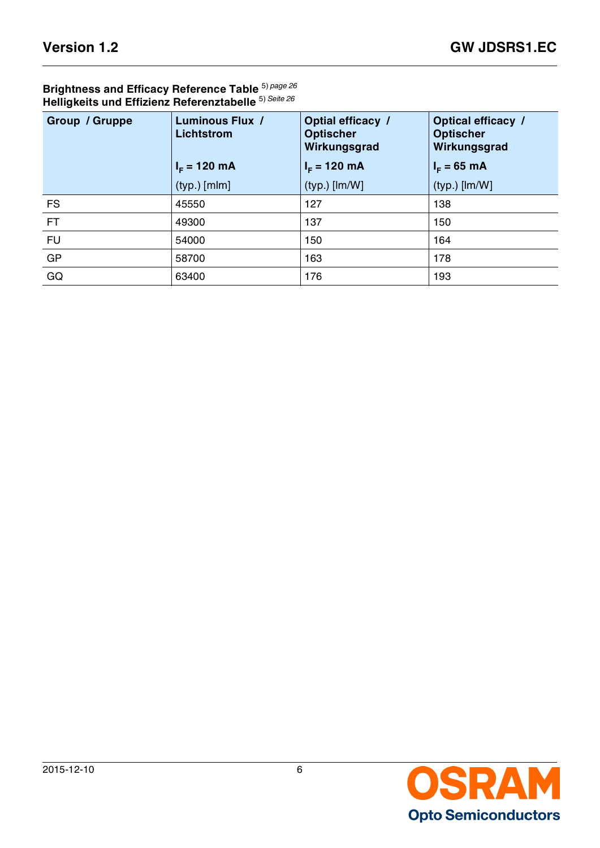### **Brightness and Efficacy Reference Table** 5) *[page 26](#page-25-8)* **Helligkeits und Effizienz Referenztabelle** 5) *[Seite 26](#page-25-9)*

| Group / Gruppe | <b>Luminous Flux /</b><br><b>Lichtstrom</b> | Optial efficacy /<br><b>Optischer</b><br>Wirkungsgrad | <b>Optical efficacy /</b><br><b>Optischer</b><br>Wirkungsgrad |  |  |
|----------------|---------------------------------------------|-------------------------------------------------------|---------------------------------------------------------------|--|--|
|                | $I_F = 120$ mA                              | $I_F = 120$ mA                                        | $I_F = 65 \, \text{mA}$                                       |  |  |
|                | $(typ.)$ [mlm]                              | $(typ.)$ [lm/W]                                       | $(typ.)$ [lm/W]                                               |  |  |
| FS.            | 45550                                       | 127                                                   | 138                                                           |  |  |
| FT.            | 49300                                       | 137                                                   | 150                                                           |  |  |
| <b>FU</b>      | 54000                                       | 150                                                   | 164                                                           |  |  |
| <b>GP</b>      | 58700                                       | 163                                                   | 178                                                           |  |  |
| GQ             | 63400                                       | 176                                                   | 193                                                           |  |  |

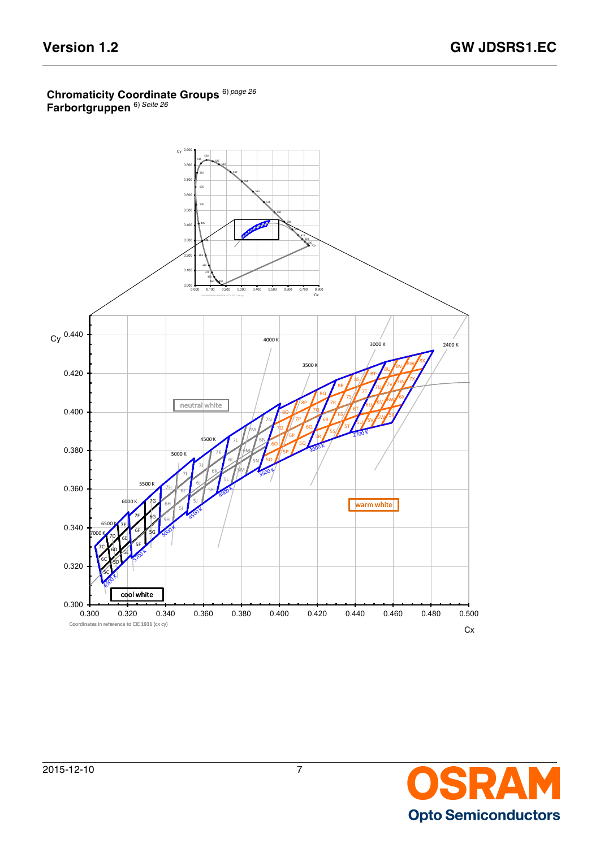#### **Chromaticity Coordinate Groups** 6) *[page 26](#page-25-10)* **Farbortgruppen** 6) *[Seite 26](#page-25-11)*



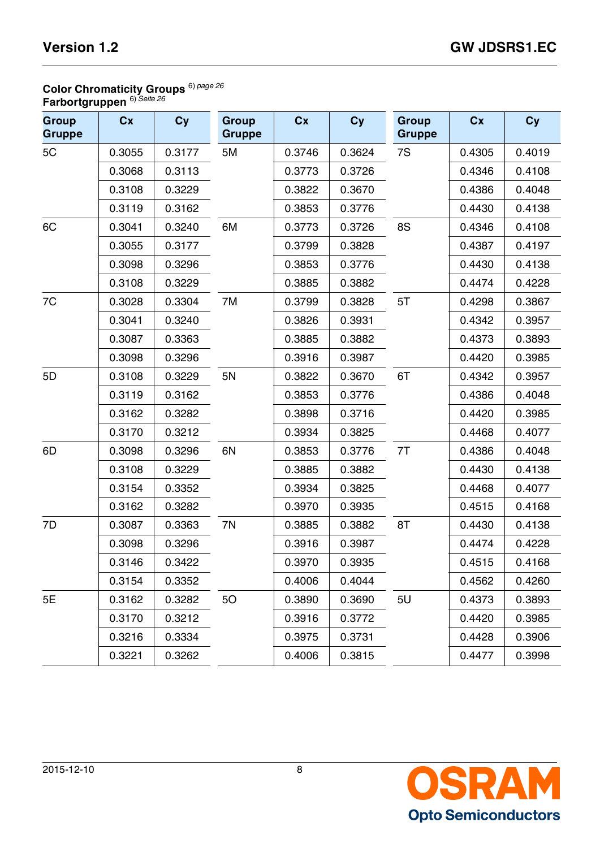# **Color Chromaticity Groups** 6) *[page 26](#page-25-10)*

**Farbortgruppen** 6) *[Seite 26](#page-25-11)*

| <b>Group</b><br><b>Gruppe</b> | Cx     | Cy     | <b>Group</b><br><b>Gruppe</b> | Cx     | Cy     | <b>Group</b><br><b>Gruppe</b> | Cx     | Cy     |
|-------------------------------|--------|--------|-------------------------------|--------|--------|-------------------------------|--------|--------|
| 5C                            | 0.3055 | 0.3177 | 5M                            | 0.3746 | 0.3624 | 7S                            | 0.4305 | 0.4019 |
|                               | 0.3068 | 0.3113 |                               | 0.3773 | 0.3726 |                               | 0.4346 | 0.4108 |
|                               | 0.3108 | 0.3229 |                               | 0.3822 | 0.3670 |                               | 0.4386 | 0.4048 |
|                               | 0.3119 | 0.3162 |                               | 0.3853 | 0.3776 |                               | 0.4430 | 0.4138 |
| 6C                            | 0.3041 | 0.3240 | 6M                            | 0.3773 | 0.3726 | 8S                            | 0.4346 | 0.4108 |
|                               | 0.3055 | 0.3177 |                               | 0.3799 | 0.3828 |                               | 0.4387 | 0.4197 |
|                               | 0.3098 | 0.3296 |                               | 0.3853 | 0.3776 |                               | 0.4430 | 0.4138 |
|                               | 0.3108 | 0.3229 |                               | 0.3885 | 0.3882 |                               | 0.4474 | 0.4228 |
| 7C                            | 0.3028 | 0.3304 | 7M                            | 0.3799 | 0.3828 | 5T                            | 0.4298 | 0.3867 |
|                               | 0.3041 | 0.3240 |                               | 0.3826 | 0.3931 |                               | 0.4342 | 0.3957 |
|                               | 0.3087 | 0.3363 |                               | 0.3885 | 0.3882 |                               | 0.4373 | 0.3893 |
|                               | 0.3098 | 0.3296 |                               | 0.3916 | 0.3987 |                               | 0.4420 | 0.3985 |
| 5D                            | 0.3108 | 0.3229 | 5N                            | 0.3822 | 0.3670 | 6T                            | 0.4342 | 0.3957 |
|                               | 0.3119 | 0.3162 |                               | 0.3853 | 0.3776 |                               | 0.4386 | 0.4048 |
|                               | 0.3162 | 0.3282 |                               | 0.3898 | 0.3716 |                               | 0.4420 | 0.3985 |
|                               | 0.3170 | 0.3212 |                               | 0.3934 | 0.3825 |                               | 0.4468 | 0.4077 |
| 6D                            | 0.3098 | 0.3296 | 6N                            | 0.3853 | 0.3776 | 7T                            | 0.4386 | 0.4048 |
|                               | 0.3108 | 0.3229 |                               | 0.3885 | 0.3882 |                               | 0.4430 | 0.4138 |
|                               | 0.3154 | 0.3352 |                               | 0.3934 | 0.3825 |                               | 0.4468 | 0.4077 |
|                               | 0.3162 | 0.3282 |                               | 0.3970 | 0.3935 |                               | 0.4515 | 0.4168 |
| 7D                            | 0.3087 | 0.3363 | 7N                            | 0.3885 | 0.3882 | 8T                            | 0.4430 | 0.4138 |
|                               | 0.3098 | 0.3296 |                               | 0.3916 | 0.3987 |                               | 0.4474 | 0.4228 |
|                               | 0.3146 | 0.3422 |                               | 0.3970 | 0.3935 |                               | 0.4515 | 0.4168 |
|                               | 0.3154 | 0.3352 |                               | 0.4006 | 0.4044 |                               | 0.4562 | 0.4260 |
| 5E                            | 0.3162 | 0.3282 | <b>50</b>                     | 0.3890 | 0.3690 | 5U                            | 0.4373 | 0.3893 |
|                               | 0.3170 | 0.3212 |                               | 0.3916 | 0.3772 |                               | 0.4420 | 0.3985 |
|                               | 0.3216 | 0.3334 |                               | 0.3975 | 0.3731 |                               | 0.4428 | 0.3906 |
|                               | 0.3221 | 0.3262 |                               | 0.4006 | 0.3815 |                               | 0.4477 | 0.3998 |

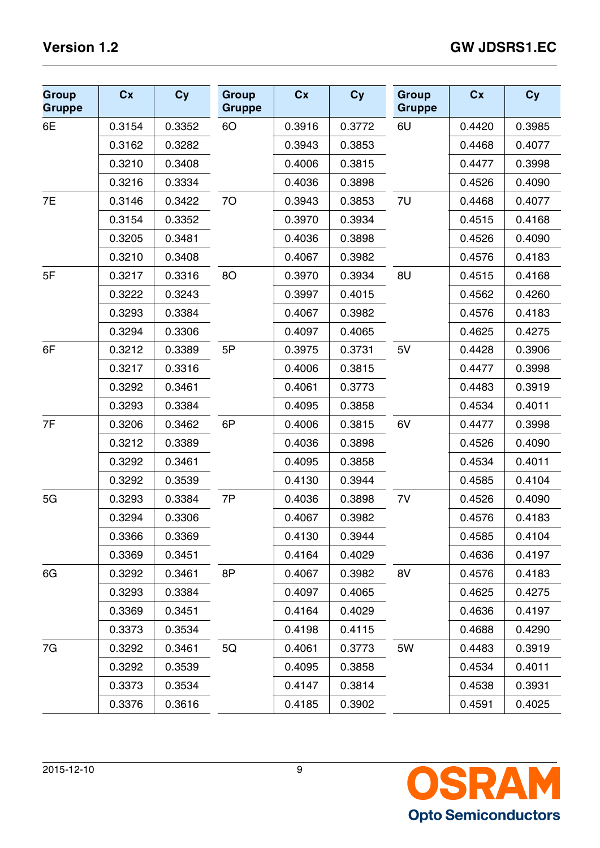| <b>Group</b><br><b>Gruppe</b> | Cx     | <b>Cy</b> | <b>Group</b><br><b>Gruppe</b> | Cx     | Cy     | <b>Group</b><br><b>Gruppe</b> | cx     | <b>Cy</b> |
|-------------------------------|--------|-----------|-------------------------------|--------|--------|-------------------------------|--------|-----------|
| 6E                            | 0.3154 | 0.3352    | 6O                            | 0.3916 | 0.3772 | 6U                            | 0.4420 | 0.3985    |
|                               | 0.3162 | 0.3282    |                               | 0.3943 | 0.3853 |                               | 0.4468 | 0.4077    |
|                               | 0.3210 | 0.3408    |                               | 0.4006 | 0.3815 |                               | 0.4477 | 0.3998    |
|                               | 0.3216 | 0.3334    |                               | 0.4036 | 0.3898 |                               | 0.4526 | 0.4090    |
| 7E                            | 0.3146 | 0.3422    | 70                            | 0.3943 | 0.3853 | 7U                            | 0.4468 | 0.4077    |
|                               | 0.3154 | 0.3352    |                               | 0.3970 | 0.3934 |                               | 0.4515 | 0.4168    |
|                               | 0.3205 | 0.3481    |                               | 0.4036 | 0.3898 |                               | 0.4526 | 0.4090    |
|                               | 0.3210 | 0.3408    |                               | 0.4067 | 0.3982 |                               | 0.4576 | 0.4183    |
| 5F                            | 0.3217 | 0.3316    | <b>8O</b>                     | 0.3970 | 0.3934 | 8U                            | 0.4515 | 0.4168    |
|                               | 0.3222 | 0.3243    |                               | 0.3997 | 0.4015 |                               | 0.4562 | 0.4260    |
|                               | 0.3293 | 0.3384    |                               | 0.4067 | 0.3982 |                               | 0.4576 | 0.4183    |
|                               | 0.3294 | 0.3306    |                               | 0.4097 | 0.4065 |                               | 0.4625 | 0.4275    |
| 6F                            | 0.3212 | 0.3389    | 5P                            | 0.3975 | 0.3731 | 5V                            | 0.4428 | 0.3906    |
|                               | 0.3217 | 0.3316    |                               | 0.4006 | 0.3815 |                               | 0.4477 | 0.3998    |
|                               | 0.3292 | 0.3461    |                               | 0.4061 | 0.3773 |                               | 0.4483 | 0.3919    |
|                               | 0.3293 | 0.3384    |                               | 0.4095 | 0.3858 |                               | 0.4534 | 0.4011    |
| 7F                            | 0.3206 | 0.3462    | 6P                            | 0.4006 | 0.3815 | 6V                            | 0.4477 | 0.3998    |
|                               | 0.3212 | 0.3389    |                               | 0.4036 | 0.3898 |                               | 0.4526 | 0.4090    |
|                               | 0.3292 | 0.3461    |                               | 0.4095 | 0.3858 |                               | 0.4534 | 0.4011    |
|                               | 0.3292 | 0.3539    |                               | 0.4130 | 0.3944 |                               | 0.4585 | 0.4104    |
| 5G                            | 0.3293 | 0.3384    | 7P                            | 0.4036 | 0.3898 | 7V                            | 0.4526 | 0.4090    |
|                               | 0.3294 | 0.3306    |                               | 0.4067 | 0.3982 |                               | 0.4576 | 0.4183    |
|                               | 0.3366 | 0.3369    |                               | 0.4130 | 0.3944 |                               | 0.4585 | 0.4104    |
|                               | 0.3369 | 0.3451    |                               | 0.4164 | 0.4029 |                               | 0.4636 | 0.4197    |
| 6G                            | 0.3292 | 0.3461    | 8P                            | 0.4067 | 0.3982 | 8V                            | 0.4576 | 0.4183    |
|                               | 0.3293 | 0.3384    |                               | 0.4097 | 0.4065 |                               | 0.4625 | 0.4275    |
|                               | 0.3369 | 0.3451    |                               | 0.4164 | 0.4029 |                               | 0.4636 | 0.4197    |
|                               | 0.3373 | 0.3534    |                               | 0.4198 | 0.4115 |                               | 0.4688 | 0.4290    |
| 7G                            | 0.3292 | 0.3461    | 5Q                            | 0.4061 | 0.3773 | 5W                            | 0.4483 | 0.3919    |
|                               | 0.3292 | 0.3539    |                               | 0.4095 | 0.3858 |                               | 0.4534 | 0.4011    |
|                               | 0.3373 | 0.3534    |                               | 0.4147 | 0.3814 |                               | 0.4538 | 0.3931    |
|                               | 0.3376 | 0.3616    |                               | 0.4185 | 0.3902 |                               | 0.4591 | 0.4025    |

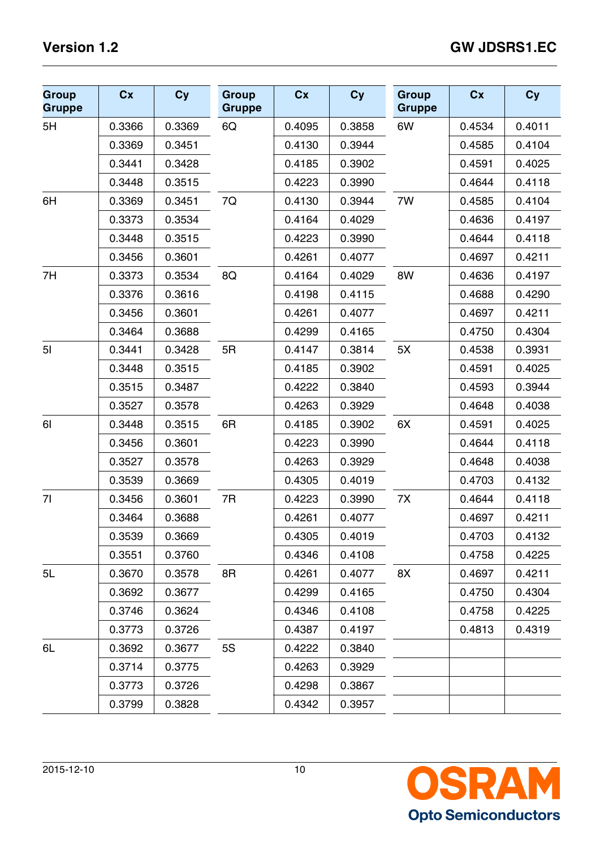| <b>Group</b><br><b>Gruppe</b> | Cx     | <b>Cy</b> | <b>Group</b><br><b>Gruppe</b> | cx     | Cy     | <b>Group</b><br><b>Gruppe</b> | Cx     | <b>Cy</b> |
|-------------------------------|--------|-----------|-------------------------------|--------|--------|-------------------------------|--------|-----------|
| 5H                            | 0.3366 | 0.3369    | 6Q                            | 0.4095 | 0.3858 | 6W                            | 0.4534 | 0.4011    |
|                               | 0.3369 | 0.3451    |                               | 0.4130 | 0.3944 |                               | 0.4585 | 0.4104    |
|                               | 0.3441 | 0.3428    |                               | 0.4185 | 0.3902 |                               | 0.4591 | 0.4025    |
|                               | 0.3448 | 0.3515    |                               | 0.4223 | 0.3990 |                               | 0.4644 | 0.4118    |
| 6H                            | 0.3369 | 0.3451    | 7Q                            | 0.4130 | 0.3944 | 7W                            | 0.4585 | 0.4104    |
|                               | 0.3373 | 0.3534    |                               | 0.4164 | 0.4029 |                               | 0.4636 | 0.4197    |
|                               | 0.3448 | 0.3515    |                               | 0.4223 | 0.3990 |                               | 0.4644 | 0.4118    |
|                               | 0.3456 | 0.3601    |                               | 0.4261 | 0.4077 |                               | 0.4697 | 0.4211    |
| 7H                            | 0.3373 | 0.3534    | 8Q                            | 0.4164 | 0.4029 | 8W                            | 0.4636 | 0.4197    |
|                               | 0.3376 | 0.3616    |                               | 0.4198 | 0.4115 |                               | 0.4688 | 0.4290    |
|                               | 0.3456 | 0.3601    |                               | 0.4261 | 0.4077 |                               | 0.4697 | 0.4211    |
|                               | 0.3464 | 0.3688    |                               | 0.4299 | 0.4165 |                               | 0.4750 | 0.4304    |
| 5 <sub>l</sub>                | 0.3441 | 0.3428    | 5R                            | 0.4147 | 0.3814 | 5X                            | 0.4538 | 0.3931    |
|                               | 0.3448 | 0.3515    |                               | 0.4185 | 0.3902 |                               | 0.4591 | 0.4025    |
|                               | 0.3515 | 0.3487    |                               | 0.4222 | 0.3840 |                               | 0.4593 | 0.3944    |
|                               | 0.3527 | 0.3578    |                               | 0.4263 | 0.3929 |                               | 0.4648 | 0.4038    |
| 61                            | 0.3448 | 0.3515    | 6R                            | 0.4185 | 0.3902 | 6X                            | 0.4591 | 0.4025    |
|                               | 0.3456 | 0.3601    |                               | 0.4223 | 0.3990 |                               | 0.4644 | 0.4118    |
|                               | 0.3527 | 0.3578    |                               | 0.4263 | 0.3929 |                               | 0.4648 | 0.4038    |
|                               | 0.3539 | 0.3669    |                               | 0.4305 | 0.4019 |                               | 0.4703 | 0.4132    |
| 71                            | 0.3456 | 0.3601    | 7R                            | 0.4223 | 0.3990 | 7X                            | 0.4644 | 0.4118    |
|                               | 0.3464 | 0.3688    |                               | 0.4261 | 0.4077 |                               | 0.4697 | 0.4211    |
|                               | 0.3539 | 0.3669    |                               | 0.4305 | 0.4019 |                               | 0.4703 | 0.4132    |
|                               | 0.3551 | 0.3760    |                               | 0.4346 | 0.4108 |                               | 0.4758 | 0.4225    |
| 5L                            | 0.3670 | 0.3578    | 8R                            | 0.4261 | 0.4077 | 8X                            | 0.4697 | 0.4211    |
|                               | 0.3692 | 0.3677    |                               | 0.4299 | 0.4165 |                               | 0.4750 | 0.4304    |
|                               | 0.3746 | 0.3624    |                               | 0.4346 | 0.4108 |                               | 0.4758 | 0.4225    |
|                               | 0.3773 | 0.3726    |                               | 0.4387 | 0.4197 |                               | 0.4813 | 0.4319    |
| 6L                            | 0.3692 | 0.3677    | <b>5S</b>                     | 0.4222 | 0.3840 |                               |        |           |
|                               | 0.3714 | 0.3775    |                               | 0.4263 | 0.3929 |                               |        |           |
|                               | 0.3773 | 0.3726    |                               | 0.4298 | 0.3867 |                               |        |           |
|                               | 0.3799 | 0.3828    |                               | 0.4342 | 0.3957 |                               |        |           |

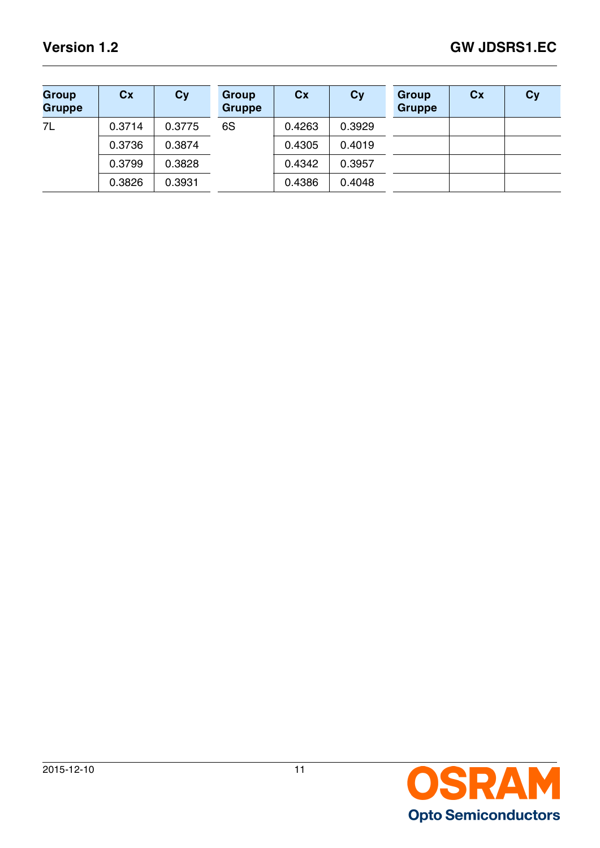| <b>Group</b><br><b>Gruppe</b> | Cx     | Cy     | Group<br><b>Gruppe</b> | cx     | Cy     | <b>Group</b><br><b>Gruppe</b> | cx | Cy |
|-------------------------------|--------|--------|------------------------|--------|--------|-------------------------------|----|----|
| 7L                            | 0.3714 | 0.3775 | 6S                     | 0.4263 | 0.3929 |                               |    |    |
|                               | 0.3736 | 0.3874 |                        | 0.4305 | 0.4019 |                               |    |    |
|                               | 0.3799 | 0.3828 |                        | 0.4342 | 0.3957 |                               |    |    |
|                               | 0.3826 | 0.3931 |                        | 0.4386 | 0.4048 |                               |    |    |

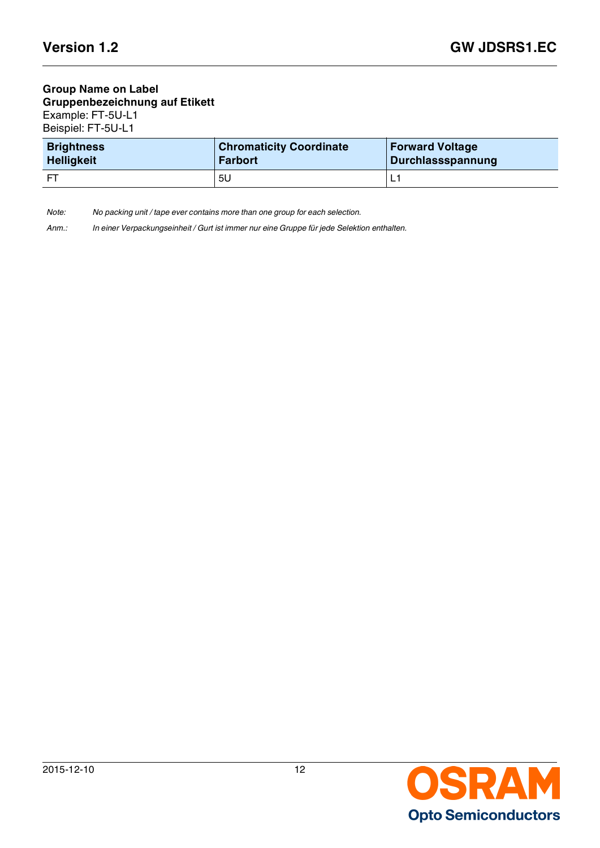#### **Group Name on Label Gruppenbezeichnung auf Etikett** Example: FT-5U-L1 Beispiel: FT-5U-L1

| <b>Brightness</b> | <b>Chromaticity Coordinate</b> | <b>Forward Voltage</b> |
|-------------------|--------------------------------|------------------------|
| <b>Helligkeit</b> | <b>Farbort</b>                 | Durchlassspannung      |
| - ET              | 5U                             |                        |

*Note: No packing unit / tape ever contains more than one group for each selection.*

*Anm.: In einer Verpackungseinheit / Gurt ist immer nur eine Gruppe für jede Selektion enthalten.*

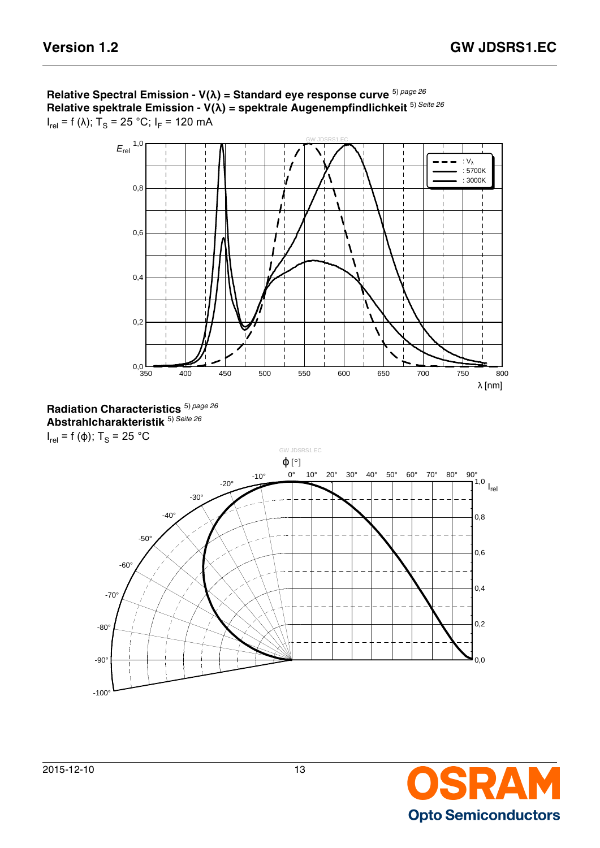

**Relative Spectral Emission - V(λ) = Standard eye response curve** 5) *[page 26](#page-25-8)* **Relative spektrale Emission - V(λ) = spektrale Augenempfindlichkeit** 5) *[Seite 26](#page-25-9)* l<sub>rel</sub> = f (λ); T<sub>S</sub> = 25 °C; I<sub>F</sub> = 120 mA





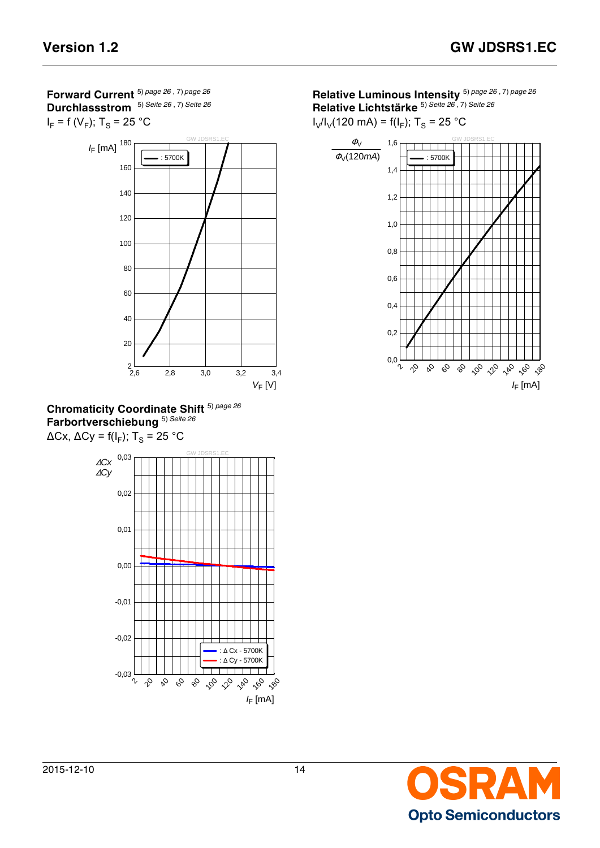**Forward Current** 5) *[page 26](#page-25-8)* , 7) *[page 26](#page-25-12)* **Durchlassstrom** 5) *[Seite 26](#page-25-9)* , 7) *[Seite 26](#page-25-13)*







**Relative Luminous Intensity** 5) *[page 26](#page-25-8)* , 7) *[page 26](#page-25-12)* **Relative Lichtstärke** 5) *[Seite 26](#page-25-9)* , 7) *[Seite 26](#page-25-13)*

 $I_V/I_V(120 \text{ mA}) = f(I_F)$ ; T<sub>S</sub> = 25 °C



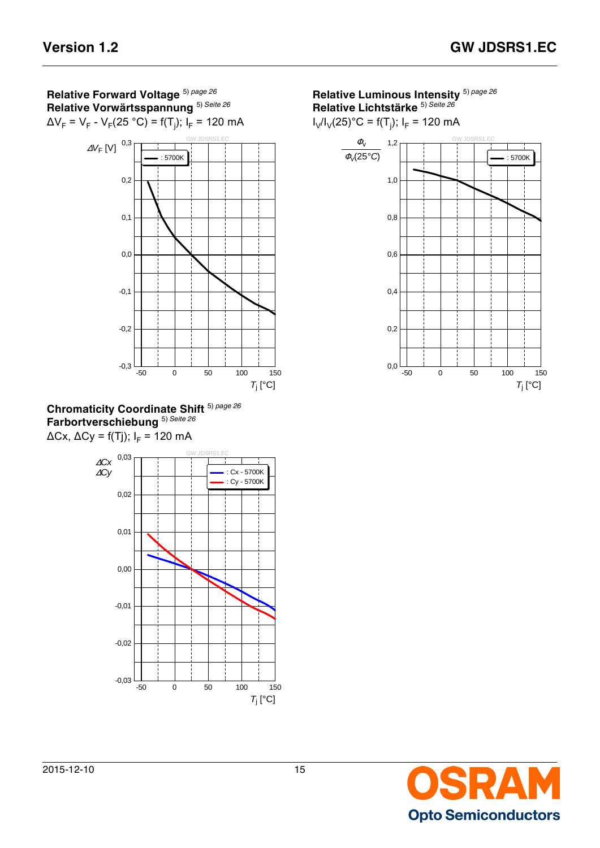**Relative Forward Voltage** 5) *[page 26](#page-25-8)* **Relative Vorwärtsspannung** 5) *[Seite 26](#page-25-9)*







**Relative Luminous Intensity** 5) *[page 26](#page-25-8)* **Relative Lichtstärke** 5) *[Seite 26](#page-25-9)*

 $I_V/I_V(25)^\circ C = f(T_j); I_F = 120 \text{ mA}$ 



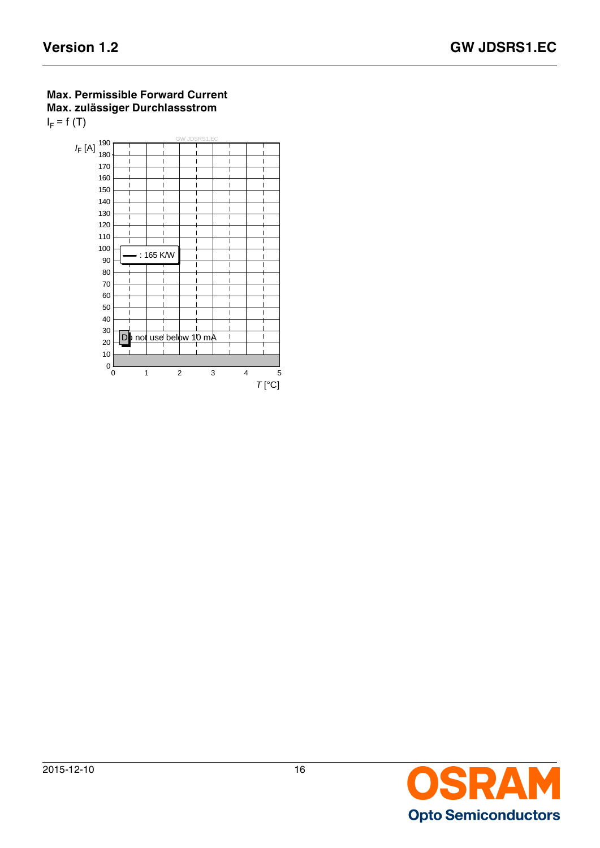### **Max. Permissible Forward Current Max. zulässiger Durchlassstrom**   $I_F$  = f (T)



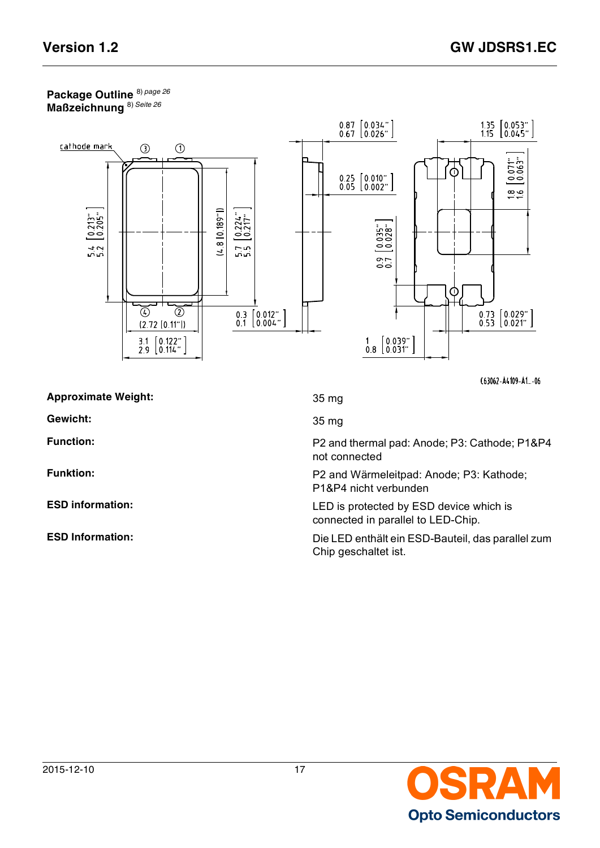### **Package Outline** 8) *[page 26](#page-25-14)* **Maßzeichnung** 8) *[Seite 26](#page-25-15)*



C63062-A4109-A1 ...- 06

|  | <b>Approximate Weight:</b> |
|--|----------------------------|
|  |                            |

**Gewicht:** 35 mg

35 mg

Function: Function: **Function:** P2 and thermal pad: Anode; P3: Cathode; P1&P4 not connected

**Funktion:** P2 and Wärmeleitpad: Anode; P3: Kathode; P1&P4 nicht verbunden

**ESD information:** LED is protected by ESD device which is connected in parallel to LED-Chip.

**ESD Information:** Die LED enthält ein ESD-Bauteil, das parallel zum Chip geschaltet ist.

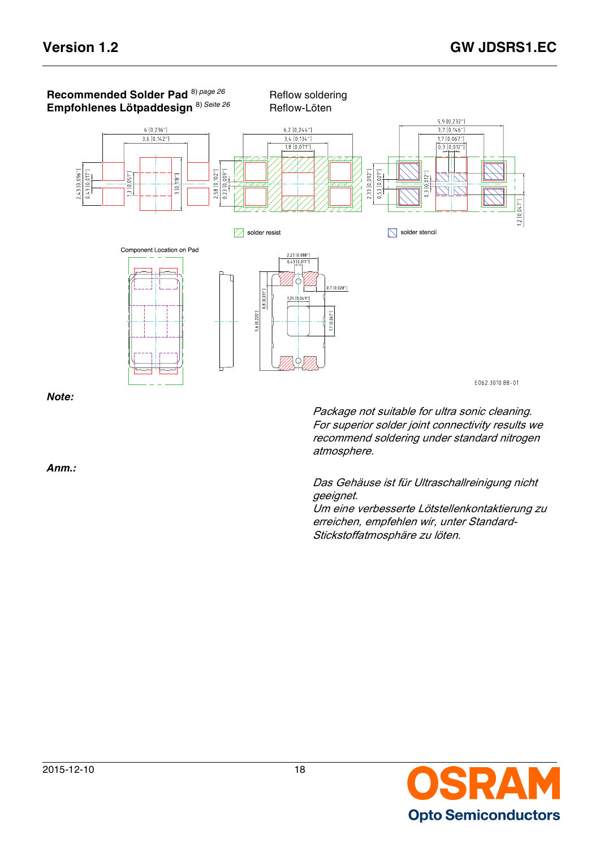

Package not suitable for ultra sonic cleaning. For superior solder joint connectivity results we recommend soldering under standard nitrogen atmosphere.

Das Gehäuse ist für Ultraschallreinigung nicht geeignet.

Um eine verbesserte Lötstellenkontaktierung zu erreichen, empfehlen wir, unter Standard-Stickstoffatmosphäre zu löten.



*Anm.:*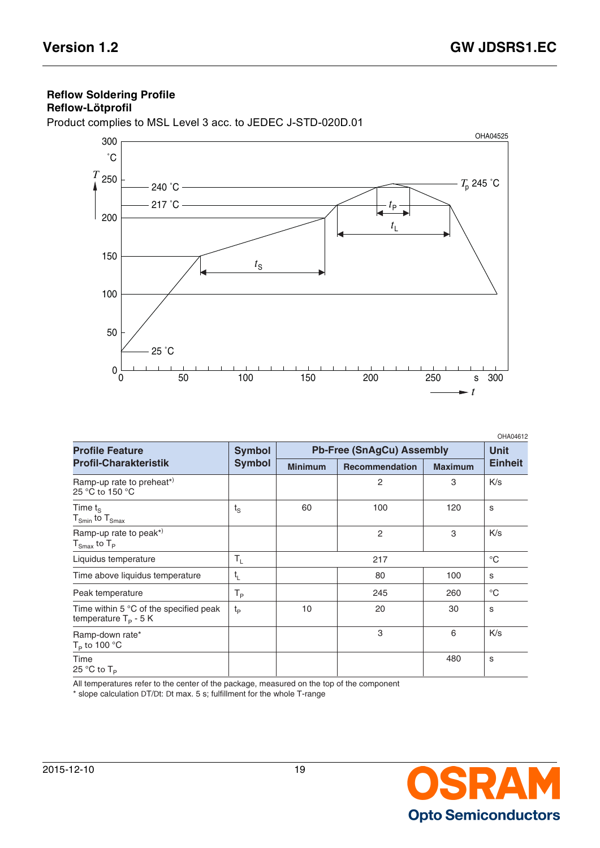# **Reflow Soldering Profile**

## **Reflow-Lötprofil**

Product complies to MSL Level 3 acc. to JEDEC J-STD-020D.01



|                                                                           |                                |                                  |                       |                | OHA04612       |
|---------------------------------------------------------------------------|--------------------------------|----------------------------------|-----------------------|----------------|----------------|
| <b>Profile Feature</b>                                                    | <b>Symbol</b><br><b>Symbol</b> | <b>Pb-Free (SnAgCu) Assembly</b> |                       |                | <b>Unit</b>    |
| <b>Profil-Charakteristik</b>                                              |                                | <b>Minimum</b>                   | <b>Recommendation</b> | <b>Maximum</b> | <b>Einheit</b> |
| Ramp-up rate to preheat*)<br>25 °C to 150 °C                              |                                |                                  | 2                     | 3              | K/s            |
| Time $t_{\rm s}$<br>$T_{Smin}$ to $T_{Smax}$                              | $t_{\rm S}$                    | 60                               | 100                   | 120            | s              |
| Ramp-up rate to peak*)<br>${\sf T}_{\sf Smax}$ to ${\sf T}_{\sf P}$       |                                |                                  | $\overline{2}$        | 3              | K/s            |
| Liquidus temperature                                                      | $\mathsf{T}_{\mathsf{L}}$      |                                  | 217                   |                | $^{\circ}C$    |
| Time above liquidus temperature                                           | $t_{L}$                        |                                  | 80                    | 100            | S              |
| Peak temperature                                                          | Т <sub>Р</sub>                 |                                  | 245                   | 260            | $^{\circ}C$    |
| Time within $5^{\circ}$ C of the specified peak<br>temperature $T_p - 5K$ | $t_{p}$                        | 10                               | 20                    | 30             | S              |
| Ramp-down rate*<br>$T_P$ to 100 °C                                        |                                |                                  | 3                     | 6              | K/s            |
| Time<br>25 °C to $T_P$                                                    |                                |                                  |                       | 480            | s              |

All temperatures refer to the center of the package, measured on the top of the component

\* slope calculation DT/Dt: Dt max. 5 s; fulfillment for the whole T-range

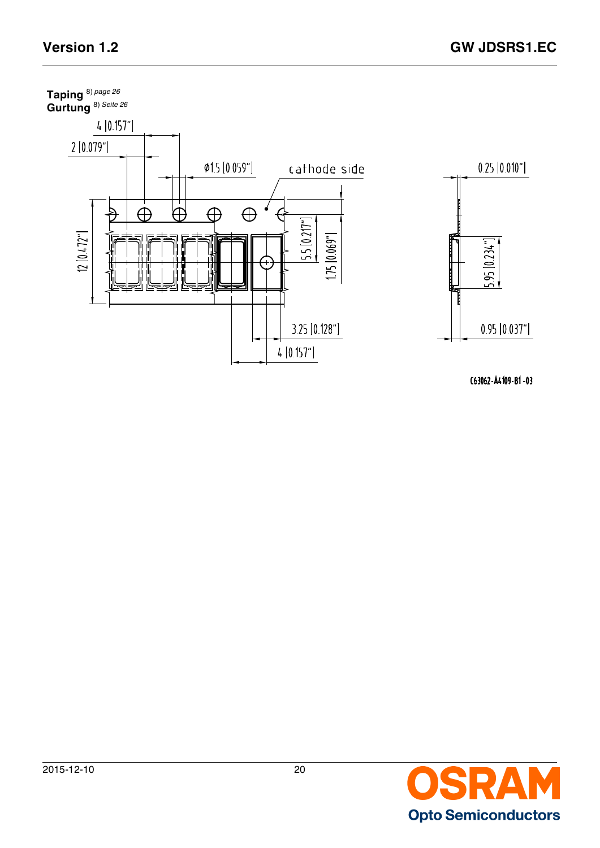

C63062-A4109-B1-03

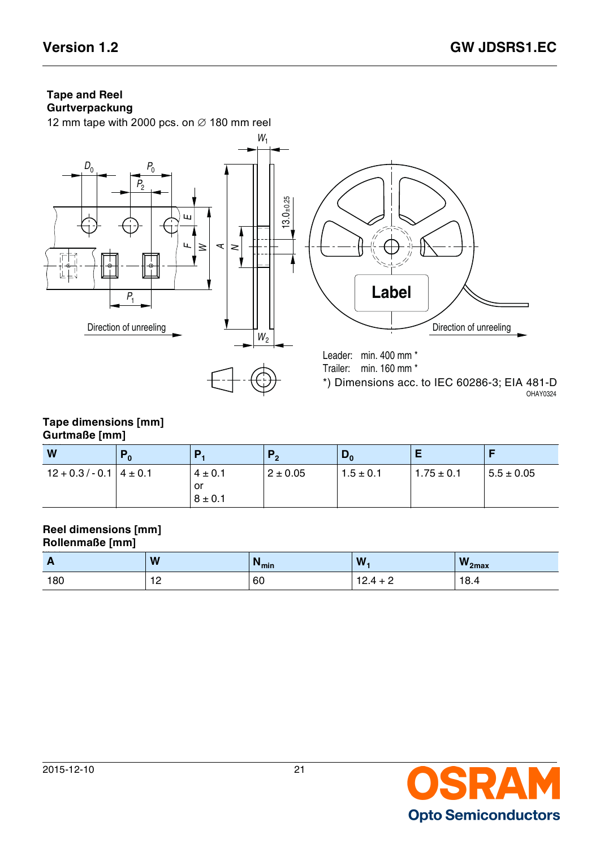# **Tape and Reel**



#### **Tape dimensions [mm] Gurtmaße [mm]**

| W                          | $\Gamma_0$ | Р                                | P <sub>2</sub> | $\mathbf{v}_0$ | Е              |                |
|----------------------------|------------|----------------------------------|----------------|----------------|----------------|----------------|
| $12 + 0.3/- 0.1$   4 ± 0.1 |            | $4 \pm 0.1$<br>or<br>$8 \pm 0.1$ | $2 \pm 0.05$   | $1.5 \pm 0.1$  | $1.75 \pm 0.1$ | $5.5 \pm 0.05$ |

#### **Reel dimensions [mm] Rollenmaße [mm]**

| $\mathbf{A}$ | W            | <sup>14</sup> min | W.                                         | $W_{2max}$ |
|--------------|--------------|-------------------|--------------------------------------------|------------|
| 180          | 12<br>$\sim$ | 60                | ⌒<br>$\cdot$ .<br>$\overline{\phantom{0}}$ | 18.4       |

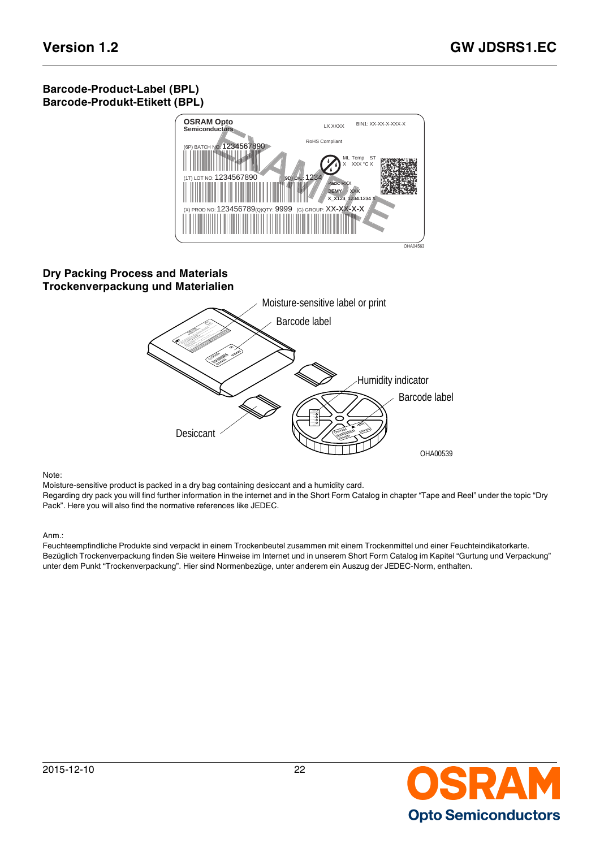### **Barcode-Product-Label (BPL) Barcode-Produkt-Etikett (BPL)**



### **Dry Packing Process and Materials Trockenverpackung und Materialien**



#### Note:

Moisture-sensitive product is packed in a dry bag containing desiccant and a humidity card. Regarding dry pack you will find further information in the internet and in the Short Form Catalog in chapter "Tape and Reel" under the topic "Dry Pack". Here you will also find the normative references like JEDEC.

#### Anm.:

Feuchteempfindliche Produkte sind verpackt in einem Trockenbeutel zusammen mit einem Trockenmittel und einer Feuchteindikatorkarte. Bezüglich Trockenverpackung finden Sie weitere Hinweise im Internet und in unserem Short Form Catalog im Kapitel "Gurtung und Verpackung" unter dem Punkt "Trockenverpackung". Hier sind Normenbezüge, unter anderem ein Auszug der JEDEC-Norm, enthalten.

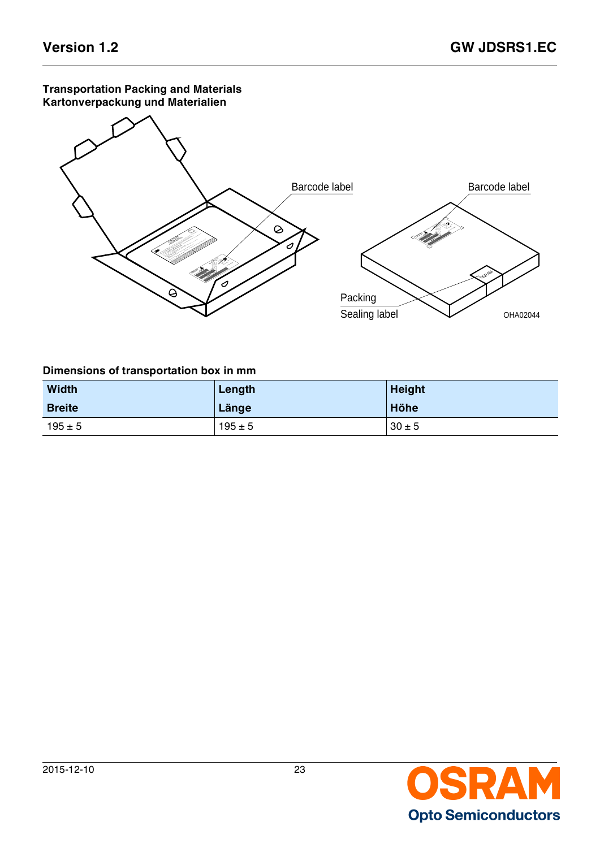#### **Transportation Packing and Materials Kartonverpackung und Materialien**



### **Dimensions of transportation box in mm**

| <b>Width</b>  | Length      | <b>Height</b> |
|---------------|-------------|---------------|
| <b>Breite</b> | Länge       | Höhe          |
| $195 \pm 5$   | $195 \pm 5$ | $30 \pm 5$    |

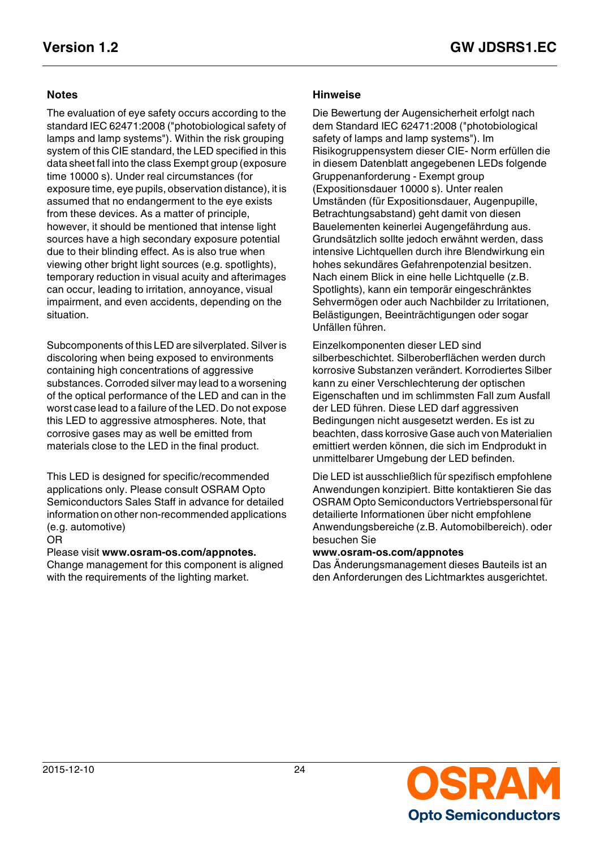The evaluation of eye safety occurs according to the standard IEC 62471:2008 ("photobiological safety of lamps and lamp systems"). Within the risk grouping system of this CIE standard, the LED specified in this data sheet fall into the class Exempt group (exposure time 10000 s). Under real circumstances (for exposure time, eye pupils, observation distance), it is assumed that no endangerment to the eye exists from these devices. As a matter of principle, however, it should be mentioned that intense light sources have a high secondary exposure potential due to their blinding effect. As is also true when viewing other bright light sources (e.g. spotlights), temporary reduction in visual acuity and afterimages can occur, leading to irritation, annoyance, visual impairment, and even accidents, depending on the situation.

Subcomponents of this LED are silverplated. Silver is discoloring when being exposed to environments containing high concentrations of aggressive substances. Corroded silver may lead to a worsening of the optical performance of the LED and can in the worst case lead to a failure of the LED. Do not expose this LED to aggressive atmospheres. Note, that corrosive gases may as well be emitted from materials close to the LED in the final product.

This LED is designed for specific/recommended applications only. Please consult OSRAM Opto Semiconductors Sales Staff in advance for detailed information on other non-recommended applications (e.g. automotive)

#### OR

Please visit **www.osram-os.com/appnotes.**

Change management for this component is aligned with the requirements of the lighting market.

#### **Notes Hinweise**

Die Bewertung der Augensicherheit erfolgt nach dem Standard IEC 62471:2008 ("photobiological safety of lamps and lamp systems"). Im Risikogruppensystem dieser CIE- Norm erfüllen die in diesem Datenblatt angegebenen LEDs folgende Gruppenanforderung - Exempt group (Expositionsdauer 10000 s). Unter realen Umständen (für Expositionsdauer, Augenpupille, Betrachtungsabstand) geht damit von diesen Bauelementen keinerlei Augengefährdung aus. Grundsätzlich sollte jedoch erwähnt werden, dass intensive Lichtquellen durch ihre Blendwirkung ein hohes sekundäres Gefahrenpotenzial besitzen. Nach einem Blick in eine helle Lichtquelle (z.B. Spotlights), kann ein temporär eingeschränktes Sehvermögen oder auch Nachbilder zu Irritationen, Belästigungen, Beeinträchtigungen oder sogar Unfällen führen.

Einzelkomponenten dieser LED sind silberbeschichtet. Silberoberflächen werden durch korrosive Substanzen verändert. Korrodiertes Silber kann zu einer Verschlechterung der optischen Eigenschaften und im schlimmsten Fall zum Ausfall der LED führen. Diese LED darf aggressiven Bedingungen nicht ausgesetzt werden. Es ist zu beachten, dass korrosive Gase auch von Materialien emittiert werden können, die sich im Endprodukt in unmittelbarer Umgebung der LED befinden.

Die LED ist ausschließlich für spezifisch empfohlene Anwendungen konzipiert. Bitte kontaktieren Sie das OSRAM Opto Semiconductors Vertriebspersonal für detailierte Informationen über nicht empfohlene Anwendungsbereiche (z.B. Automobilbereich). oder besuchen Sie

#### **www.osram-os.com/appnotes**

Das Änderungsmanagement dieses Bauteils ist an den Anforderungen des Lichtmarktes ausgerichtet.

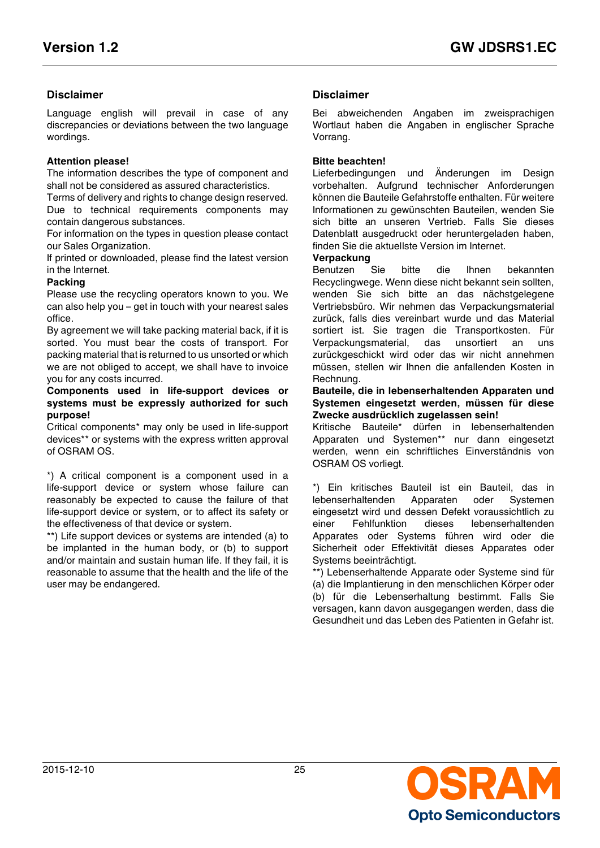### **Disclaimer Disclaimer**

Language english will prevail in case of any discrepancies or deviations between the two language wordings.

#### **Attention please!**

The information describes the type of component and shall not be considered as assured characteristics.

Terms of delivery and rights to change design reserved. Due to technical requirements components may contain dangerous substances.

For information on the types in question please contact our Sales Organization.

If printed or downloaded, please find the latest version in the Internet.

#### **Packing**

Please use the recycling operators known to you. We can also help you – get in touch with your nearest sales office.

By agreement we will take packing material back, if it is sorted. You must bear the costs of transport. For packing material that is returned to us unsorted or which we are not obliged to accept, we shall have to invoice you for any costs incurred.

#### **Components used in life-support devices or systems must be expressly authorized for such purpose!**

Critical components\* may only be used in life-support devices\*\* or systems with the express written approval of OSRAM OS.

\*) A critical component is a component used in a life-support device or system whose failure can reasonably be expected to cause the failure of that life-support device or system, or to affect its safety or the effectiveness of that device or system.

\*\*) Life support devices or systems are intended (a) to be implanted in the human body, or (b) to support and/or maintain and sustain human life. If they fail, it is reasonable to assume that the health and the life of the user may be endangered.

Bei abweichenden Angaben im zweisprachigen Wortlaut haben die Angaben in englischer Sprache Vorrang.

#### **Bitte beachten!**

Lieferbedingungen und Änderungen im Design vorbehalten. Aufgrund technischer Anforderungen können die Bauteile Gefahrstoffe enthalten. Für weitere Informationen zu gewünschten Bauteilen, wenden Sie sich bitte an unseren Vertrieb. Falls Sie dieses Datenblatt ausgedruckt oder heruntergeladen haben, finden Sie die aktuellste Version im Internet.

#### **Verpackung**

Benutzen Sie bitte die Ihnen bekannten Recyclingwege. Wenn diese nicht bekannt sein sollten, wenden Sie sich bitte an das nächstgelegene Vertriebsbüro. Wir nehmen das Verpackungsmaterial zurück, falls dies vereinbart wurde und das Material sortiert ist. Sie tragen die Transportkosten. Für Verpackungsmaterial, das unsortiert an uns zurückgeschickt wird oder das wir nicht annehmen müssen, stellen wir Ihnen die anfallenden Kosten in Rechnung.

#### **Bauteile, die in lebenserhaltenden Apparaten und Systemen eingesetzt werden, müssen für diese Zwecke ausdrücklich zugelassen sein!**

Kritische Bauteile\* dürfen in lebenserhaltenden Apparaten und Systemen\*\* nur dann eingesetzt werden, wenn ein schriftliches Einverständnis von OSRAM OS vorliegt.

\*) Ein kritisches Bauteil ist ein Bauteil, das in lebenserhaltenden Apparaten oder Systemen eingesetzt wird und dessen Defekt voraussichtlich zu einer Fehlfunktion dieses lebenserhaltenden Apparates oder Systems führen wird oder die Sicherheit oder Effektivität dieses Apparates oder Systems beeinträchtigt.

\*\*) Lebenserhaltende Apparate oder Systeme sind für (a) die Implantierung in den menschlichen Körper oder (b) für die Lebenserhaltung bestimmt. Falls Sie versagen, kann davon ausgegangen werden, dass die Gesundheit und das Leben des Patienten in Gefahr ist.

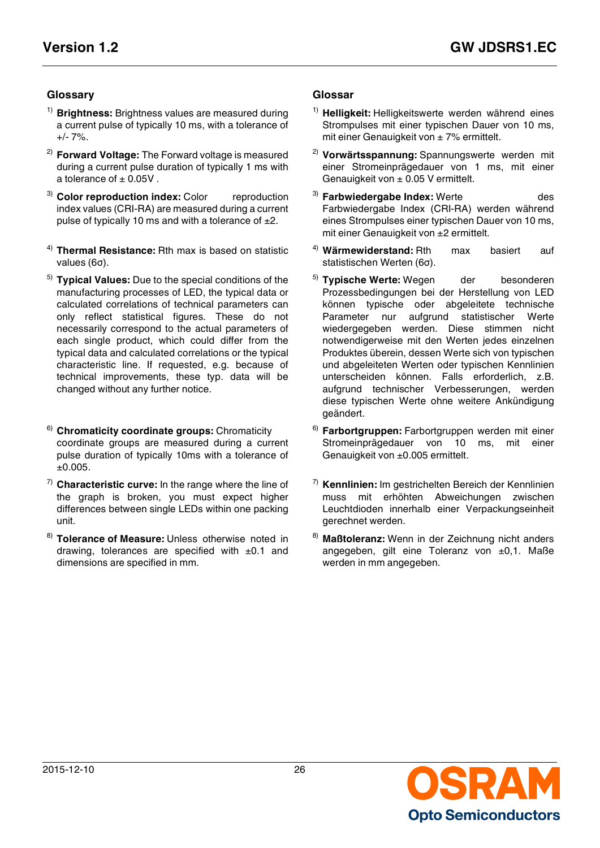### **Glossary Glossar**

- <span id="page-25-0"></span>1) **Brightness:** Brightness values are measured during a current pulse of typically 10 ms, with a tolerance of  $+/- 7\%$ .
- <span id="page-25-2"></span>2) **Forward Voltage:** The Forward voltage is measured during a current pulse duration of typically 1 ms with a tolerance of  $\pm$  0.05V.
- <span id="page-25-4"></span><sup>3)</sup> **Color reproduction index:** Color reproduction index values (CRI-RA) are measured during a current pulse of typically 10 ms and with a tolerance of  $\pm 2$ .
- <span id="page-25-6"></span>**Thermal Resistance:** Rth max is based on statistic values (6σ).
- <span id="page-25-8"></span>5) **Typical Values:** Due to the special conditions of the manufacturing processes of LED, the typical data or calculated correlations of technical parameters can only reflect statistical figures. These do not necessarily correspond to the actual parameters of each single product, which could differ from the typical data and calculated correlations or the typical characteristic line. If requested, e.g. because of technical improvements, these typ. data will be changed without any further notice.
- <span id="page-25-10"></span>6) **Chromaticity coordinate groups:** Chromaticity coordinate groups are measured during a current pulse duration of typically 10ms with a tolerance of  $±0.005.$
- <span id="page-25-12"></span>7) **Characteristic curve:** In the range where the line of the graph is broken, you must expect higher differences between single LEDs within one packing unit.
- <span id="page-25-14"></span>8) **Tolerance of Measure:** Unless otherwise noted in drawing, tolerances are specified with  $\pm 0.1$  and dimensions are specified in mm.

- <span id="page-25-1"></span>1) **Helligkeit:** Helligkeitswerte werden während eines Strompulses mit einer typischen Dauer von 10 ms, mit einer Genauigkeit von  $\pm$  7% ermittelt.
- <span id="page-25-3"></span>2) **Vorwärtsspannung:** Spannungswerte werden mit einer Stromeinprägedauer von 1 ms, mit einer Genauigkeit von  $\pm$  0.05 V ermittelt.
- <span id="page-25-5"></span><sup>3)</sup> **Farbwiedergabe Index:** Werte des Farbwiedergabe Index (CRI-RA) werden während eines Strompulses einer typischen Dauer von 10 ms, mit einer Genauigkeit von ±2 ermittelt.
- <span id="page-25-7"></span>4) **Wärmewiderstand:** Rth max basiert auf statistischen Werten (6σ).
- <span id="page-25-9"></span><sup>5)</sup> Typische Werte: Wegen der besonderen Prozessbedingungen bei der Herstellung von LED können typische oder abgeleitete technische Parameter nur aufgrund statistischer Werte wiedergegeben werden. Diese stimmen nicht notwendigerweise mit den Werten jedes einzelnen Produktes überein, dessen Werte sich von typischen und abgeleiteten Werten oder typischen Kennlinien unterscheiden können. Falls erforderlich, z.B. aufgrund technischer Verbesserungen, werden diese typischen Werte ohne weitere Ankündigung geändert.
- <span id="page-25-11"></span>6) **Farbortgruppen:** Farbortgruppen werden mit einer Stromeinprägedauer von 10 ms, mit einer Genauigkeit von ±0.005 ermittelt.
- <span id="page-25-13"></span>7) **Kennlinien:** Im gestrichelten Bereich der Kennlinien muss mit erhöhten Abweichungen zwischen Leuchtdioden innerhalb einer Verpackungseinheit gerechnet werden.
- <span id="page-25-15"></span>8) **Maßtoleranz:** Wenn in der Zeichnung nicht anders angegeben, gilt eine Toleranz von ±0,1. Maße werden in mm angegeben.